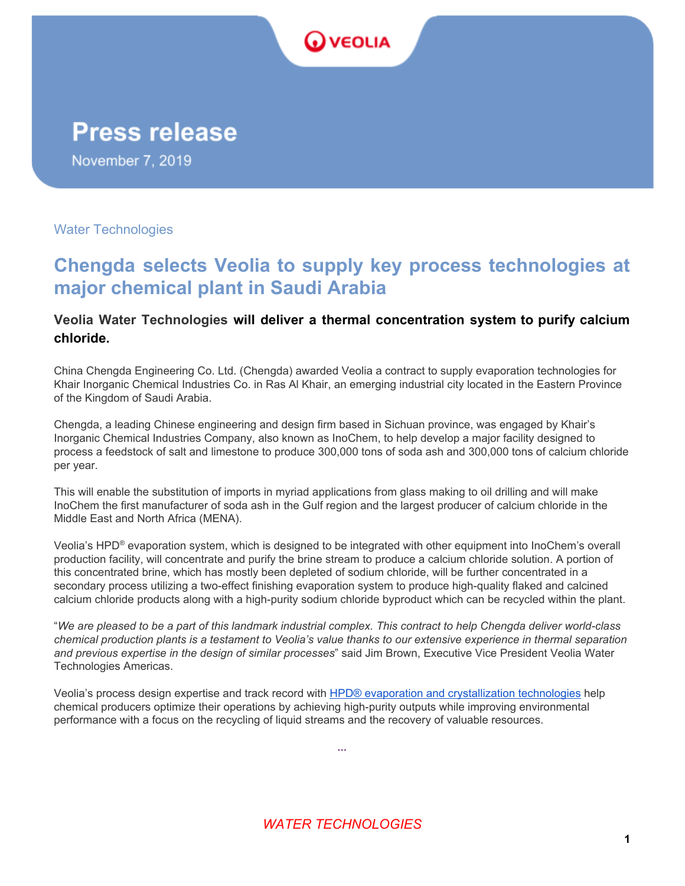

## **Press release**

November 7, 2019

Water Technologies

## **Chengda selects Veolia to supply key process technologies at major chemical plant in Saudi Arabia**

## **Veolia Water Technologies will deliver a thermal concentration system to purify calcium chloride.**

China Chengda Engineering Co. Ltd. (Chengda) awarded Veolia a contract to supply evaporation technologies for Khair Inorganic Chemical Industries Co. in Ras Al Khair, an emerging industrial city located in the Eastern Province of the Kingdom of Saudi Arabia.

Chengda, a leading Chinese engineering and design firm based in Sichuan province, was engaged by Khair's Inorganic Chemical Industries Company, also known as InoChem, to help develop a major facility designed to process a feedstock of salt and limestone to produce 300,000 tons of soda ash and 300,000 tons of calcium chloride per year.

This will enable the substitution of imports in myriad applications from glass making to oil drilling and will make InoChem the first manufacturer of soda ash in the Gulf region and the largest producer of calcium chloride in the Middle East and North Africa (MENA).

Veolia's HPD® evaporation system, which is designed to be integrated with other equipment into InoChem's overall production facility, will concentrate and purify the brine stream to produce a calcium chloride solution. A portion of this concentrated brine, which has mostly been depleted of sodium chloride, will be further concentrated in a secondary process utilizing a two-effect finishing evaporation system to produce high-quality flaked and calcined calcium chloride products along with a high-purity sodium chloride byproduct which can be recycled within the plant.

"We are pleased to be a part of this landmark industrial complex. This contract to help Chengda deliver world-class chemical production plants is a testament to Veolia's value thanks to our extensive experience in thermal separation *and previous expertise in the design of similar processes*" said Jim Brown, Executive Vice President Veolia Water Technologies Americas.

Veolia's process design expertise and track record with HPD® evaporation and [crystallization](http://technomaps.veoliawatertechnologies.com/hpdevaporation/en/) technologies help chemical producers optimize their operations by achieving high-purity outputs while improving environmental performance with a focus on the recycling of liquid streams and the recovery of valuable resources.

*WATER TECHNOLOGIES*

**...**